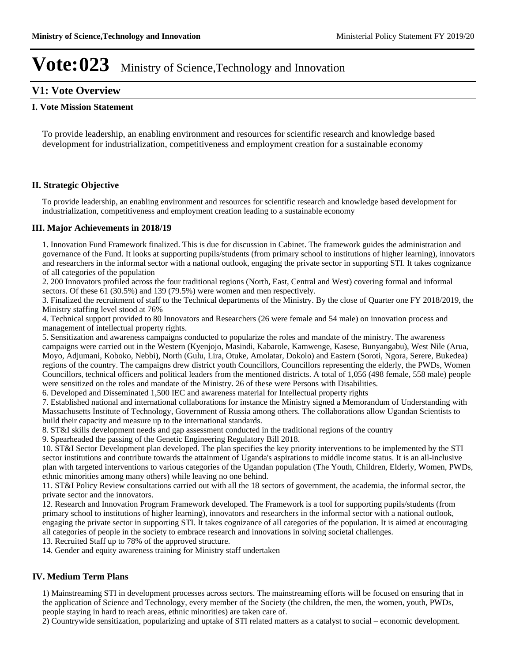## **V1: Vote Overview**

#### **I. Vote Mission Statement**

To provide leadership, an enabling environment and resources for scientific research and knowledge based development for industrialization, competitiveness and employment creation for a sustainable economy

#### **II. Strategic Objective**

To provide leadership, an enabling environment and resources for scientific research and knowledge based development for industrialization, competitiveness and employment creation leading to a sustainable economy

#### **III. Major Achievements in 2018/19**

1. Innovation Fund Framework finalized. This is due for discussion in Cabinet. The framework guides the administration and governance of the Fund. It looks at supporting pupils/students (from primary school to institutions of higher learning), innovators and researchers in the informal sector with a national outlook, engaging the private sector in supporting STI. It takes cognizance of all categories of the population

2. 200 Innovators profiled across the four traditional regions (North, East, Central and West) covering formal and informal sectors. Of these 61 (30.5%) and 139 (79.5%) were women and men respectively.

3. Finalized the recruitment of staff to the Technical departments of the Ministry. By the close of Quarter one FY 2018/2019, the Ministry staffing level stood at 76%

4. Technical support provided to 80 Innovators and Researchers (26 were female and 54 male) on innovation process and management of intellectual property rights.

5. Sensitization and awareness campaigns conducted to popularize the roles and mandate of the ministry. The awareness campaigns were carried out in the Western (Kyenjojo, Masindi, Kabarole, Kamwenge, Kasese, Bunyangabu), West Nile (Arua, Moyo, Adjumani, Koboko, Nebbi), North (Gulu, Lira, Otuke, Amolatar, Dokolo) and Eastern (Soroti, Ngora, Serere, Bukedea) regions of the country. The campaigns drew district youth Councillors, Councillors representing the elderly, the PWDs, Women Councillors, technical officers and political leaders from the mentioned districts. A total of 1,056 (498 female, 558 male) people were sensitized on the roles and mandate of the Ministry. 26 of these were Persons with Disabilities.

6. Developed and Disseminated 1,500 IEC and awareness material for Intellectual property rights

7. Established national and international collaborations for instance the Ministry signed a Memorandum of Understanding with Massachusetts Institute of Technology, Government of Russia among others. The collaborations allow Ugandan Scientists to build their capacity and measure up to the international standards.

8. ST&I skills development needs and gap assessment conducted in the traditional regions of the country

9. Spearheaded the passing of the Genetic Engineering Regulatory Bill 2018.

10. ST&I Sector Development plan developed. The plan specifies the key priority interventions to be implemented by the STI sector institutions and contribute towards the attainment of Uganda's aspirations to middle income status. It is an all-inclusive plan with targeted interventions to various categories of the Ugandan population (The Youth, Children, Elderly, Women, PWDs, ethnic minorities among many others) while leaving no one behind.

11. ST&I Policy Review consultations carried out with all the 18 sectors of government, the academia, the informal sector, the private sector and the innovators.

12. Research and Innovation Program Framework developed. The Framework is a tool for supporting pupils/students (from primary school to institutions of higher learning), innovators and researchers in the informal sector with a national outlook, engaging the private sector in supporting STI. It takes cognizance of all categories of the population. It is aimed at encouraging all categories of people in the society to embrace research and innovations in solving societal challenges.

13. Recruited Staff up to 78% of the approved structure.

14. Gender and equity awareness training for Ministry staff undertaken

#### **IV. Medium Term Plans**

1) Mainstreaming STI in development processes across sectors. The mainstreaming efforts will be focused on ensuring that in the application of Science and Technology, every member of the Society (the children, the men, the women, youth, PWDs, people staying in hard to reach areas, ethnic minorities) are taken care of.

2) Countrywide sensitization, popularizing and uptake of STI related matters as a catalyst to social – economic development.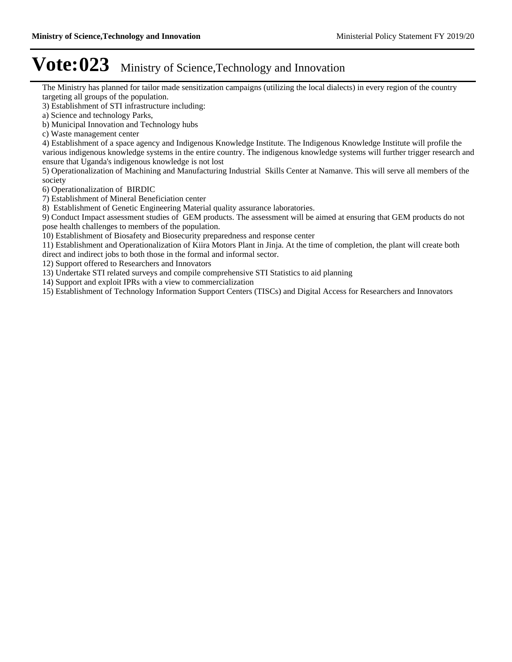The Ministry has planned for tailor made sensitization campaigns (utilizing the local dialects) in every region of the country targeting all groups of the population.

- 3) Establishment of STI infrastructure including:
- a) Science and technology Parks,
- b) Municipal Innovation and Technology hubs
- c) Waste management center

4) Establishment of a space agency and Indigenous Knowledge Institute. The Indigenous Knowledge Institute will profile the various indigenous knowledge systems in the entire country. The indigenous knowledge systems will further trigger research and ensure that Uganda's indigenous knowledge is not lost

5) Operationalization of Machining and Manufacturing Industrial Skills Center at Namanve. This will serve all members of the society

6) Operationalization of BIRDIC

7) Establishment of Mineral Beneficiation center

8) Establishment of Genetic Engineering Material quality assurance laboratories.

9) Conduct Impact assessment studies of GEM products. The assessment will be aimed at ensuring that GEM products do not pose health challenges to members of the population.

10) Establishment of Biosafety and Biosecurity preparedness and response center

11) Establishment and Operationalization of Kiira Motors Plant in Jinja. At the time of completion, the plant will create both direct and indirect jobs to both those in the formal and informal sector.

12) Support offered to Researchers and Innovators

13) Undertake STI related surveys and compile comprehensive STI Statistics to aid planning

14) Support and exploit IPRs with a view to commercialization

15) Establishment of Technology Information Support Centers (TISCs) and Digital Access for Researchers and Innovators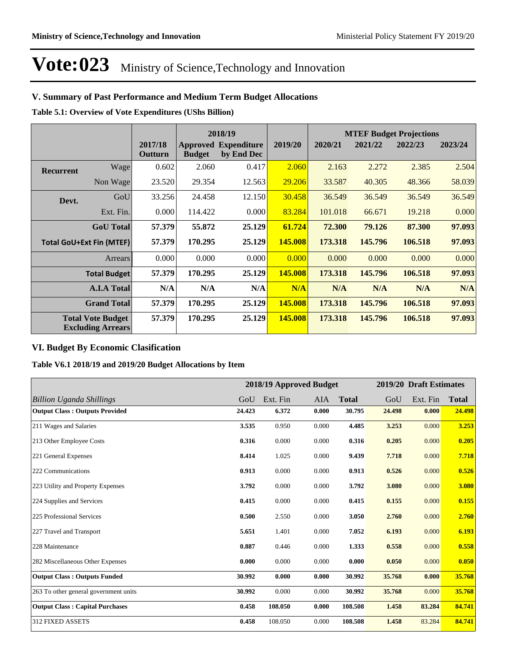### **V. Summary of Past Performance and Medium Term Budget Allocations**

**Table 5.1: Overview of Vote Expenditures (UShs Billion)**

|                  |                                                      |                    |               | 2018/19                                   |         |         |         | <b>MTEF Budget Projections</b> |         |
|------------------|------------------------------------------------------|--------------------|---------------|-------------------------------------------|---------|---------|---------|--------------------------------|---------|
|                  |                                                      | 2017/18<br>Outturn | <b>Budget</b> | <b>Approved Expenditure</b><br>by End Dec | 2019/20 | 2020/21 | 2021/22 | 2022/23                        | 2023/24 |
| <b>Recurrent</b> | Wage                                                 | 0.602              | 2.060         | 0.417                                     | 2.060   | 2.163   | 2.272   | 2.385                          | 2.504   |
|                  | Non Wage                                             | 23.520             | 29.354        | 12.563                                    | 29.206  | 33.587  | 40.305  | 48.366                         | 58.039  |
| Devt.            | GoU                                                  | 33.256             | 24.458        | 12.150                                    | 30.458  | 36.549  | 36.549  | 36.549                         | 36.549  |
|                  | Ext. Fin.                                            | 0.000              | 114.422       | 0.000                                     | 83.284  | 101.018 | 66.671  | 19.218                         | 0.000   |
|                  | <b>GoU</b> Total                                     | 57.379             | 55.872        | 25.129                                    | 61.724  | 72.300  | 79.126  | 87.300                         | 97.093  |
|                  | <b>Total GoU+Ext Fin (MTEF)</b>                      | 57.379             | 170.295       | 25.129                                    | 145.008 | 173.318 | 145.796 | 106.518                        | 97.093  |
|                  | Arrears                                              | 0.000              | 0.000         | 0.000                                     | 0.000   | 0.000   | 0.000   | 0.000                          | 0.000   |
|                  | <b>Total Budget</b>                                  | 57.379             | 170.295       | 25.129                                    | 145.008 | 173.318 | 145.796 | 106.518                        | 97.093  |
|                  | <b>A.I.A Total</b>                                   | N/A                | N/A           | N/A                                       | N/A     | N/A     | N/A     | N/A                            | N/A     |
|                  | <b>Grand Total</b>                                   | 57.379             | 170.295       | 25.129                                    | 145.008 | 173.318 | 145.796 | 106.518                        | 97.093  |
|                  | <b>Total Vote Budget</b><br><b>Excluding Arrears</b> | 57.379             | 170.295       | 25.129                                    | 145.008 | 173.318 | 145.796 | 106.518                        | 97.093  |

### **VI. Budget By Economic Clasification**

**Table V6.1 2018/19 and 2019/20 Budget Allocations by Item**

|                                        |        |          | 2018/19 Approved Budget |              |        | 2019/20 Draft Estimates |              |
|----------------------------------------|--------|----------|-------------------------|--------------|--------|-------------------------|--------------|
| <b>Billion Uganda Shillings</b>        | GoU    | Ext. Fin | AIA                     | <b>Total</b> | GoU    | Ext. Fin                | <b>Total</b> |
| <b>Output Class: Outputs Provided</b>  | 24.423 | 6.372    | 0.000                   | 30.795       | 24.498 | 0.000                   | 24.498       |
| 211 Wages and Salaries                 | 3.535  | 0.950    | 0.000                   | 4.485        | 3.253  | 0.000                   | 3.253        |
| 213 Other Employee Costs               | 0.316  | 0.000    | 0.000                   | 0.316        | 0.205  | 0.000                   | 0.205        |
| 221 General Expenses                   | 8.414  | 1.025    | 0.000                   | 9.439        | 7.718  | 0.000                   | 7.718        |
| 222 Communications                     | 0.913  | 0.000    | 0.000                   | 0.913        | 0.526  | 0.000                   | 0.526        |
| 223 Utility and Property Expenses      | 3.792  | 0.000    | 0.000                   | 3.792        | 3.080  | 0.000                   | 3.080        |
| 224 Supplies and Services              | 0.415  | 0.000    | 0.000                   | 0.415        | 0.155  | 0.000                   | 0.155        |
| 225 Professional Services              | 0.500  | 2.550    | 0.000                   | 3.050        | 2.760  | 0.000                   | 2.760        |
| 227 Travel and Transport               | 5.651  | 1.401    | 0.000                   | 7.052        | 6.193  | 0.000                   | 6.193        |
| 228 Maintenance                        | 0.887  | 0.446    | 0.000                   | 1.333        | 0.558  | 0.000                   | 0.558        |
| 282 Miscellaneous Other Expenses       | 0.000  | 0.000    | 0.000                   | 0.000        | 0.050  | 0.000                   | 0.050        |
| <b>Output Class: Outputs Funded</b>    | 30.992 | 0.000    | 0.000                   | 30.992       | 35.768 | 0.000                   | 35.768       |
| 263 To other general government units  | 30.992 | 0.000    | 0.000                   | 30.992       | 35.768 | 0.000                   | 35.768       |
| <b>Output Class: Capital Purchases</b> | 0.458  | 108.050  | 0.000                   | 108.508      | 1.458  | 83.284                  | 84.741       |
| 312 FIXED ASSETS                       | 0.458  | 108.050  | 0.000                   | 108.508      | 1.458  | 83.284                  | 84.741       |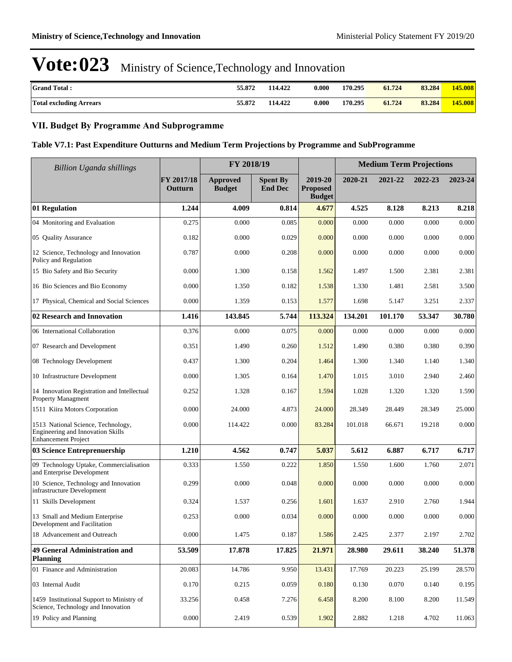| <b>Grand Total:</b>            | 55.872 | 114.422 | 0.000 | 170.295 | 61.724 | 83.284 | 145.008 |
|--------------------------------|--------|---------|-------|---------|--------|--------|---------|
| <b>Total excluding Arrears</b> | 55.872 | 114.422 | 0.000 | 170.295 | 61.724 | 83.284 | 145.008 |

### **VII. Budget By Programme And Subprogramme**

#### **Table V7.1: Past Expenditure Outturns and Medium Term Projections by Programme and SubProgramme**

| <b>Billion Uganda shillings</b>                                                                       |                       | FY 2018/19                |                                   |                                             |         | <b>Medium Term Projections</b> |         |         |
|-------------------------------------------------------------------------------------------------------|-----------------------|---------------------------|-----------------------------------|---------------------------------------------|---------|--------------------------------|---------|---------|
|                                                                                                       | FY 2017/18<br>Outturn | Approved<br><b>Budget</b> | <b>Spent By</b><br><b>End Dec</b> | 2019-20<br><b>Proposed</b><br><b>Budget</b> | 2020-21 | 2021-22                        | 2022-23 | 2023-24 |
| 01 Regulation                                                                                         | 1.244                 | 4.009                     | 0.814                             | 4.677                                       | 4.525   | 8.128                          | 8.213   | 8.218   |
| 04 Monitoring and Evaluation                                                                          | 0.275                 | 0.000                     | 0.085                             | 0.000                                       | 0.000   | 0.000                          | 0.000   | 0.000   |
| 05 Quality Assurance                                                                                  | 0.182                 | 0.000                     | 0.029                             | 0.000                                       | 0.000   | 0.000                          | 0.000   | 0.000   |
| 12 Science, Technology and Innovation<br>Policy and Regulation                                        | 0.787                 | 0.000                     | 0.208                             | 0.000                                       | 0.000   | 0.000                          | 0.000   | 0.000   |
| 15 Bio Safety and Bio Security                                                                        | 0.000                 | 1.300                     | 0.158                             | 1.562                                       | 1.497   | 1.500                          | 2.381   | 2.381   |
| 16 Bio Sciences and Bio Economy                                                                       | 0.000                 | 1.350                     | 0.182                             | 1.538                                       | 1.330   | 1.481                          | 2.581   | 3.500   |
| 17 Physical, Chemical and Social Sciences                                                             | 0.000                 | 1.359                     | 0.153                             | 1.577                                       | 1.698   | 5.147                          | 3.251   | 2.337   |
| 02 Research and Innovation                                                                            | 1.416                 | 143.845                   | 5.744                             | 113.324                                     | 134.201 | 101.170                        | 53.347  | 30.780  |
| 06 International Collaboration                                                                        | 0.376                 | 0.000                     | 0.075                             | 0.000                                       | 0.000   | 0.000                          | 0.000   | 0.000   |
| 07 Research and Development                                                                           | 0.351                 | 1.490                     | 0.260                             | 1.512                                       | 1.490   | 0.380                          | 0.380   | 0.390   |
| 08 Technology Development                                                                             | 0.437                 | 1.300                     | 0.204                             | 1.464                                       | 1.300   | 1.340                          | 1.140   | 1.340   |
| 10 Infrastructure Development                                                                         | 0.000                 | 1.305                     | 0.164                             | 1.470                                       | 1.015   | 3.010                          | 2.940   | 2.460   |
| 14 Innovation Registration and Intellectual<br>Property Managment                                     | 0.252                 | 1.328                     | 0.167                             | 1.594                                       | 1.028   | 1.320                          | 1.320   | 1.590   |
| 1511 Kiira Motors Corporation                                                                         | 0.000                 | 24.000                    | 4.873                             | 24.000                                      | 28.349  | 28.449                         | 28.349  | 25.000  |
| 1513 National Science, Technology,<br>Engineering and Innovation Skills<br><b>Enhancement Project</b> | 0.000                 | 114.422                   | 0.000                             | 83.284                                      | 101.018 | 66.671                         | 19.218  | 0.000   |
| 03 Science Entreprenuership                                                                           | 1.210                 | 4.562                     | 0.747                             | 5.037                                       | 5.612   | 6.887                          | 6.717   | 6.717   |
| 09 Technology Uptake, Commercialisation<br>and Enterprise Development                                 | 0.333                 | 1.550                     | 0.222                             | 1.850                                       | 1.550   | 1.600                          | 1.760   | 2.071   |
| 10 Science, Technology and Innovation<br>infrastructure Development                                   | 0.299                 | 0.000                     | 0.048                             | 0.000                                       | 0.000   | 0.000                          | 0.000   | 0.000   |
| 11 Skills Development                                                                                 | 0.324                 | 1.537                     | 0.256                             | 1.601                                       | 1.637   | 2.910                          | 2.760   | 1.944   |
| 13 Small and Medium Enterprise<br>Development and Facilitation                                        | 0.253                 | 0.000                     | 0.034                             | 0.000                                       | 0.000   | 0.000                          | 0.000   | 0.000   |
| 18 Advancement and Outreach                                                                           | 0.000                 | 1.475                     | 0.187                             | 1.586                                       | 2.425   | 2.377                          | 2.197   | 2.702   |
| 49 General Administration and<br><b>Planning</b>                                                      | 53.509                | 17.878                    | 17.825                            | 21.971                                      | 28.980  | 29.611                         | 38.240  | 51.378  |
| 01 Finance and Administration                                                                         | 20.083                | 14.786                    | 9.950                             | 13.431                                      | 17.769  | 20.223                         | 25.199  | 28.570  |
| 03 Internal Audit                                                                                     | 0.170                 | 0.215                     | 0.059                             | 0.180                                       | 0.130   | 0.070                          | 0.140   | 0.195   |
| 1459 Institutional Support to Ministry of<br>Science, Technology and Innovation                       | 33.256                | 0.458                     | 7.276                             | 6.458                                       | 8.200   | 8.100                          | 8.200   | 11.549  |
| 19 Policy and Planning                                                                                | 0.000                 | 2.419                     | 0.539                             | 1.902                                       | 2.882   | 1.218                          | 4.702   | 11.063  |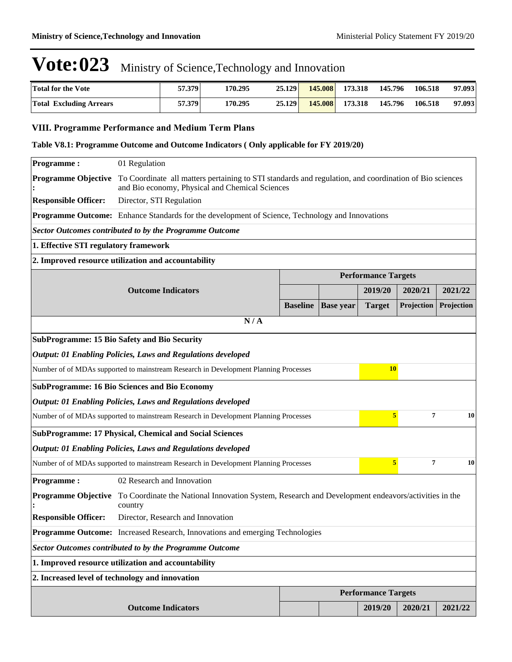| <b>Total for the Vote</b>      | 57.379 | 170.295 | 25.129 | 145.008 | 173.318 | 145.796 | 106.518 | 97.093 |
|--------------------------------|--------|---------|--------|---------|---------|---------|---------|--------|
| <b>Total Excluding Arrears</b> | 57.379 | 170.295 | 25.129 | 145.008 | 173.318 | 145.796 | 106.518 | 97.093 |

#### **VIII. Programme Performance and Medium Term Plans**

#### **Table V8.1: Programme Outcome and Outcome Indicators ( Only applicable for FY 2019/20)**

| <b>Programme:</b>                                              | 01 Regulation                                                                                                                                             |                 |                  |                            |            |            |  |  |
|----------------------------------------------------------------|-----------------------------------------------------------------------------------------------------------------------------------------------------------|-----------------|------------------|----------------------------|------------|------------|--|--|
| <b>Programme Objective</b>                                     | To Coordinate all matters pertaining to STI standards and regulation, and coordination of Bio sciences<br>and Bio economy, Physical and Chemical Sciences |                 |                  |                            |            |            |  |  |
| <b>Responsible Officer:</b>                                    | Director, STI Regulation                                                                                                                                  |                 |                  |                            |            |            |  |  |
|                                                                | Programme Outcome: Enhance Standards for the development of Science, Technology and Innovations                                                           |                 |                  |                            |            |            |  |  |
|                                                                | <b>Sector Outcomes contributed to by the Programme Outcome</b>                                                                                            |                 |                  |                            |            |            |  |  |
| 1. Effective STI regulatory framework                          |                                                                                                                                                           |                 |                  |                            |            |            |  |  |
|                                                                | 2. Improved resource utilization and accountability                                                                                                       |                 |                  |                            |            |            |  |  |
|                                                                |                                                                                                                                                           |                 |                  | <b>Performance Targets</b> |            |            |  |  |
|                                                                | <b>Outcome Indicators</b>                                                                                                                                 |                 |                  | 2019/20                    | 2020/21    | 2021/22    |  |  |
|                                                                |                                                                                                                                                           | <b>Baseline</b> | <b>Base year</b> | <b>Target</b>              | Projection | Projection |  |  |
|                                                                | N/A                                                                                                                                                       |                 |                  |                            |            |            |  |  |
|                                                                | <b>SubProgramme: 15 Bio Safety and Bio Security</b>                                                                                                       |                 |                  |                            |            |            |  |  |
|                                                                | <b>Output: 01 Enabling Policies, Laws and Regulations developed</b>                                                                                       |                 |                  |                            |            |            |  |  |
|                                                                | Number of of MDAs supported to mainstream Research in Development Planning Processes                                                                      |                 |                  | <b>10</b>                  |            |            |  |  |
|                                                                | <b>SubProgramme: 16 Bio Sciences and Bio Economy</b>                                                                                                      |                 |                  |                            |            |            |  |  |
|                                                                | <b>Output: 01 Enabling Policies, Laws and Regulations developed</b>                                                                                       |                 |                  |                            |            |            |  |  |
|                                                                | Number of of MDAs supported to mainstream Research in Development Planning Processes                                                                      |                 |                  | 5                          | 7          | 10         |  |  |
|                                                                | <b>SubProgramme: 17 Physical, Chemical and Social Sciences</b>                                                                                            |                 |                  |                            |            |            |  |  |
|                                                                | <b>Output: 01 Enabling Policies, Laws and Regulations developed</b>                                                                                       |                 |                  |                            |            |            |  |  |
|                                                                | Number of of MDAs supported to mainstream Research in Development Planning Processes                                                                      |                 |                  | 5                          | 7          | 10         |  |  |
| <b>Programme:</b>                                              | 02 Research and Innovation                                                                                                                                |                 |                  |                            |            |            |  |  |
| <b>Programme Objective</b>                                     | To Coordinate the National Innovation System, Research and Development endeavors/activities in the<br>country                                             |                 |                  |                            |            |            |  |  |
| <b>Responsible Officer:</b>                                    | Director, Research and Innovation                                                                                                                         |                 |                  |                            |            |            |  |  |
|                                                                | Programme Outcome: Increased Research, Innovations and emerging Technologies                                                                              |                 |                  |                            |            |            |  |  |
| <b>Sector Outcomes contributed to by the Programme Outcome</b> |                                                                                                                                                           |                 |                  |                            |            |            |  |  |
| 1. Improved resource utilization and accountability            |                                                                                                                                                           |                 |                  |                            |            |            |  |  |
|                                                                | 2. Increased level of technology and innovation                                                                                                           |                 |                  |                            |            |            |  |  |
|                                                                |                                                                                                                                                           |                 |                  | <b>Performance Targets</b> |            |            |  |  |
|                                                                | <b>Outcome Indicators</b>                                                                                                                                 |                 |                  | 2019/20                    | 2020/21    | 2021/22    |  |  |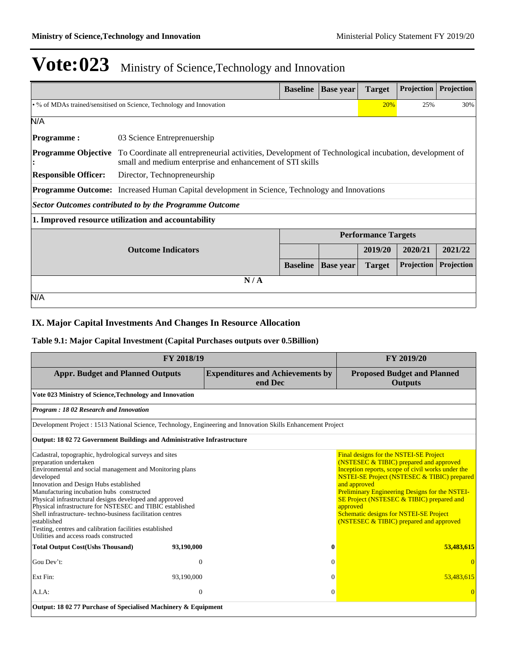|                                                                                                                                                                                                  |                                                                                                      | <b>Baseline</b> | <b>Base</b> year | <b>Target</b>              | Projection        | Projection |
|--------------------------------------------------------------------------------------------------------------------------------------------------------------------------------------------------|------------------------------------------------------------------------------------------------------|-----------------|------------------|----------------------------|-------------------|------------|
|                                                                                                                                                                                                  | • % of MDAs trained/sensitised on Science, Technology and Innovation                                 |                 |                  | 20%                        | 25%               | 30%        |
| N/A                                                                                                                                                                                              |                                                                                                      |                 |                  |                            |                   |            |
| <b>Programme:</b>                                                                                                                                                                                | 03 Science Entreprenuership                                                                          |                 |                  |                            |                   |            |
| <b>Programme Objective</b><br>To Coordinate all entrepreneurial activities, Development of Technological incubation, development of<br>small and medium enterprise and enhancement of STI skills |                                                                                                      |                 |                  |                            |                   |            |
| <b>Responsible Officer:</b>                                                                                                                                                                      | Director, Technopreneurship                                                                          |                 |                  |                            |                   |            |
|                                                                                                                                                                                                  | <b>Programme Outcome:</b> Increased Human Capital development in Science, Technology and Innovations |                 |                  |                            |                   |            |
|                                                                                                                                                                                                  | <b>Sector Outcomes contributed to by the Programme Outcome</b>                                       |                 |                  |                            |                   |            |
|                                                                                                                                                                                                  | 1. Improved resource utilization and accountability                                                  |                 |                  |                            |                   |            |
|                                                                                                                                                                                                  |                                                                                                      |                 |                  | <b>Performance Targets</b> |                   |            |
|                                                                                                                                                                                                  | <b>Outcome Indicators</b>                                                                            |                 |                  | 2019/20                    | 2020/21           | 2021/22    |
|                                                                                                                                                                                                  |                                                                                                      | <b>Baseline</b> | <b>Base year</b> | <b>Target</b>              | <b>Projection</b> | Projection |
|                                                                                                                                                                                                  | N/A                                                                                                  |                 |                  |                            |                   |            |
| N/A                                                                                                                                                                                              |                                                                                                      |                 |                  |                            |                   |            |

### **IX. Major Capital Investments And Changes In Resource Allocation**

#### **Table 9.1: Major Capital Investment (Capital Purchases outputs over 0.5Billion)**

| FY 2018/19                                                                                                                                                                                                                                                                                                                                                                                                                                                                                                                                                |                                                                |                                                                                                                                                                                                                                                                                                                                                                                                                                | FY 2019/20                                           |  |  |  |  |
|-----------------------------------------------------------------------------------------------------------------------------------------------------------------------------------------------------------------------------------------------------------------------------------------------------------------------------------------------------------------------------------------------------------------------------------------------------------------------------------------------------------------------------------------------------------|----------------------------------------------------------------|--------------------------------------------------------------------------------------------------------------------------------------------------------------------------------------------------------------------------------------------------------------------------------------------------------------------------------------------------------------------------------------------------------------------------------|------------------------------------------------------|--|--|--|--|
| <b>Appr. Budget and Planned Outputs</b>                                                                                                                                                                                                                                                                                                                                                                                                                                                                                                                   |                                                                | <b>Expenditures and Achievements by</b><br>end Dec                                                                                                                                                                                                                                                                                                                                                                             | <b>Proposed Budget and Planned</b><br><b>Outputs</b> |  |  |  |  |
| Vote 023 Ministry of Science, Technology and Innovation                                                                                                                                                                                                                                                                                                                                                                                                                                                                                                   |                                                                |                                                                                                                                                                                                                                                                                                                                                                                                                                |                                                      |  |  |  |  |
| <b>Program: 1802 Research and Innovation</b>                                                                                                                                                                                                                                                                                                                                                                                                                                                                                                              |                                                                |                                                                                                                                                                                                                                                                                                                                                                                                                                |                                                      |  |  |  |  |
|                                                                                                                                                                                                                                                                                                                                                                                                                                                                                                                                                           |                                                                | Development Project : 1513 National Science, Technology, Engineering and Innovation Skills Enhancement Project                                                                                                                                                                                                                                                                                                                 |                                                      |  |  |  |  |
| Output: 18 02 72 Government Buildings and Administrative Infrastructure                                                                                                                                                                                                                                                                                                                                                                                                                                                                                   |                                                                |                                                                                                                                                                                                                                                                                                                                                                                                                                |                                                      |  |  |  |  |
| Cadastral, topographic, hydrological surveys and sites<br>preparation undertaken<br>Environmental and social management and Monitoring plans<br>developed<br>Innovation and Design Hubs established<br>Manufacturing incubation hubs constructed<br>Physical infrastructural designs developed and approved<br>Physical infrastructure for NSTESEC and TIBIC established<br>Shell infrastructure-techno-business facilitation centres<br>established<br>Testing, centres and calibration facilities established<br>Utilities and access roads constructed |                                                                | Final designs for the NSTEI-SE Project<br>(NSTESEC & TIBIC) prepared and approved<br>Inception reports, scope of civil works under the<br><b>NSTEI-SE Project (NSTESEC &amp; TIBIC) prepared</b><br>and approved<br><b>Preliminary Engineering Designs for the NSTEI-</b><br>SE Project (NSTESEC & TIBIC) prepared and<br>approved<br><b>Schematic designs for NSTEI-SE Project</b><br>(NSTESEC & TIBIC) prepared and approved |                                                      |  |  |  |  |
| <b>Total Output Cost(Ushs Thousand)</b>                                                                                                                                                                                                                                                                                                                                                                                                                                                                                                                   | 93,190,000                                                     | $\bf{0}$                                                                                                                                                                                                                                                                                                                                                                                                                       | 53,483,615                                           |  |  |  |  |
| Gou Dev't:                                                                                                                                                                                                                                                                                                                                                                                                                                                                                                                                                | $\boldsymbol{0}$                                               | $\Omega$                                                                                                                                                                                                                                                                                                                                                                                                                       | $\Omega$                                             |  |  |  |  |
| Ext Fin:                                                                                                                                                                                                                                                                                                                                                                                                                                                                                                                                                  | 93,190,000                                                     | $\Omega$                                                                                                                                                                                                                                                                                                                                                                                                                       | 53.483.615                                           |  |  |  |  |
| $A.I.A$ :                                                                                                                                                                                                                                                                                                                                                                                                                                                                                                                                                 | $\mathbf{0}$                                                   | $\mathbf{0}$                                                                                                                                                                                                                                                                                                                                                                                                                   |                                                      |  |  |  |  |
|                                                                                                                                                                                                                                                                                                                                                                                                                                                                                                                                                           | Output: 18 02 77 Purchase of Specialised Machinery & Equipment |                                                                                                                                                                                                                                                                                                                                                                                                                                |                                                      |  |  |  |  |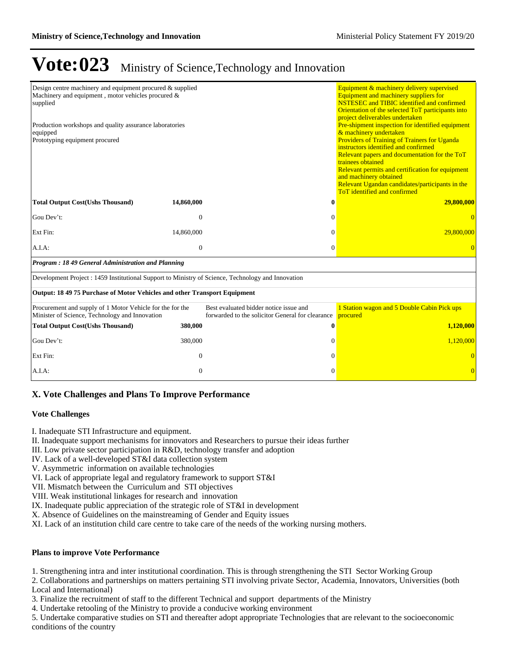| Design centre machinery and equipment procured & supplied<br>Machinery and equipment, motor vehicles procured $\&$<br>supplied<br>Production workshops and quality assurance laboratories<br>equipped<br>Prototyping equipment procured |              |                                                                                            | Equipment & machinery delivery supervised<br>Equipment and machinery suppliers for<br><b>NSTESEC</b> and <b>TIBIC</b> identified and confirmed<br>Orientation of the selected ToT participants into<br>project deliverables undertaken<br>Pre-shipment inspection for identified equipment<br>& machinery undertaken<br>Providers of Training of Trainers for Uganda<br>instructors identified and confirmed<br>Relevant papers and documentation for the ToT<br>trainees obtained<br>Relevant permits and certification for equipment<br>and machinery obtained<br>Relevant Ugandan candidates/participants in the<br><b>ToT</b> identified and confirmed |
|-----------------------------------------------------------------------------------------------------------------------------------------------------------------------------------------------------------------------------------------|--------------|--------------------------------------------------------------------------------------------|------------------------------------------------------------------------------------------------------------------------------------------------------------------------------------------------------------------------------------------------------------------------------------------------------------------------------------------------------------------------------------------------------------------------------------------------------------------------------------------------------------------------------------------------------------------------------------------------------------------------------------------------------------|
| <b>Total Output Cost(Ushs Thousand)</b>                                                                                                                                                                                                 | 14,860,000   | 0                                                                                          | 29,800,000                                                                                                                                                                                                                                                                                                                                                                                                                                                                                                                                                                                                                                                 |
| Gou Dev't:                                                                                                                                                                                                                              | $\mathbf{0}$ | $\Omega$                                                                                   | $\Omega$                                                                                                                                                                                                                                                                                                                                                                                                                                                                                                                                                                                                                                                   |
| Ext Fin:                                                                                                                                                                                                                                | 14,860,000   | $\Omega$                                                                                   | 29,800,000                                                                                                                                                                                                                                                                                                                                                                                                                                                                                                                                                                                                                                                 |
| A.I.A.                                                                                                                                                                                                                                  | $\mathbf{0}$ | $\overline{0}$                                                                             | $\Omega$                                                                                                                                                                                                                                                                                                                                                                                                                                                                                                                                                                                                                                                   |
| Program: 1849 General Administration and Planning                                                                                                                                                                                       |              |                                                                                            |                                                                                                                                                                                                                                                                                                                                                                                                                                                                                                                                                                                                                                                            |
| Development Project : 1459 Institutional Support to Ministry of Science, Technology and Innovation                                                                                                                                      |              |                                                                                            |                                                                                                                                                                                                                                                                                                                                                                                                                                                                                                                                                                                                                                                            |
| Output: 18 49 75 Purchase of Motor Vehicles and other Transport Equipment                                                                                                                                                               |              |                                                                                            |                                                                                                                                                                                                                                                                                                                                                                                                                                                                                                                                                                                                                                                            |
| Procurement and supply of 1 Motor Vehicle for the for the<br>Minister of Science, Technology and Innovation                                                                                                                             |              | Best evaluated bidder notice issue and<br>forwarded to the solicitor General for clearance | 1 Station wagon and 5 Double Cabin Pick ups<br>procured                                                                                                                                                                                                                                                                                                                                                                                                                                                                                                                                                                                                    |
| <b>Total Output Cost(Ushs Thousand)</b>                                                                                                                                                                                                 | 380,000      | 0                                                                                          | 1,120,000                                                                                                                                                                                                                                                                                                                                                                                                                                                                                                                                                                                                                                                  |
| Gou Dev't:                                                                                                                                                                                                                              | 380,000      | $\Omega$                                                                                   | 1,120,000                                                                                                                                                                                                                                                                                                                                                                                                                                                                                                                                                                                                                                                  |
| Ext Fin:                                                                                                                                                                                                                                | $\mathbf{0}$ | $\Omega$                                                                                   | $\overline{0}$                                                                                                                                                                                                                                                                                                                                                                                                                                                                                                                                                                                                                                             |
| A.I.A:                                                                                                                                                                                                                                  | $\mathbf{0}$ | 0                                                                                          | $\Omega$                                                                                                                                                                                                                                                                                                                                                                                                                                                                                                                                                                                                                                                   |

#### **X. Vote Challenges and Plans To Improve Performance**

#### **Vote Challenges**

I. Inadequate STI Infrastructure and equipment.

- II. Inadequate support mechanisms for innovators and Researchers to pursue their ideas further
- III. Low private sector participation in R&D, technology transfer and adoption
- IV. Lack of a well-developed ST&I data collection system
- V. Asymmetric information on available technologies
- VI. Lack of appropriate legal and regulatory framework to support ST&I
- VII. Mismatch between the Curriculum and STI objectives

VIII. Weak institutional linkages for research and innovation

IX. Inadequate public appreciation of the strategic role of ST&I in development

X. Absence of Guidelines on the mainstreaming of Gender and Equity issues

XI. Lack of an institution child care centre to take care of the needs of the working nursing mothers.

#### **Plans to improve Vote Performance**

1. Strengthening intra and inter institutional coordination. This is through strengthening the STI Sector Working Group

2. Collaborations and partnerships on matters pertaining STI involving private Sector, Academia, Innovators, Universities (both Local and International)

3. Finalize the recruitment of staff to the different Technical and support departments of the Ministry

4. Undertake retooling of the Ministry to provide a conducive working environment

5. Undertake comparative studies on STI and thereafter adopt appropriate Technologies that are relevant to the socioeconomic conditions of the country